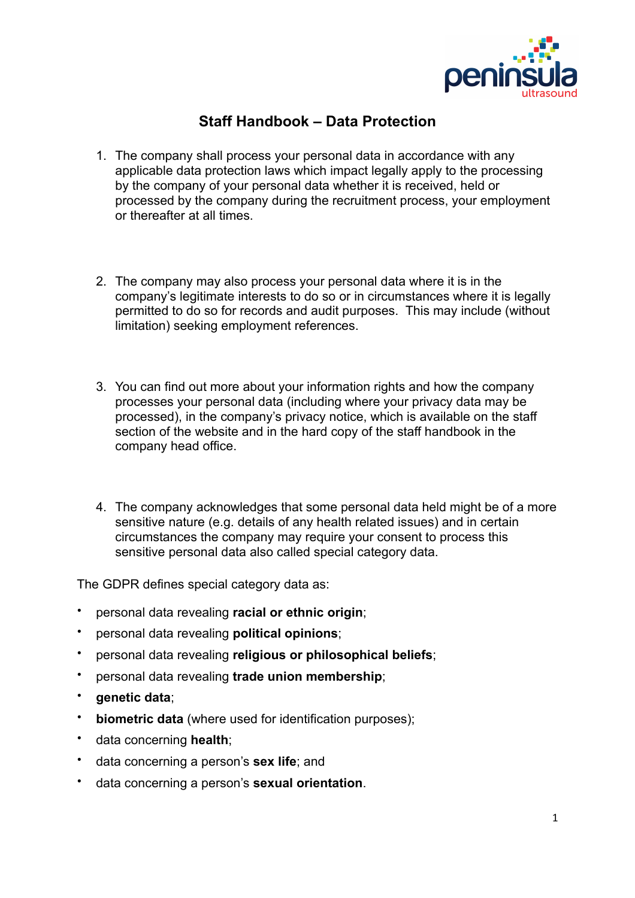

## **Staff Handbook – Data Protection**

- 1. The company shall process your personal data in accordance with any applicable data protection laws which impact legally apply to the processing by the company of your personal data whether it is received, held or processed by the company during the recruitment process, your employment or thereafter at all times.
- 2. The company may also process your personal data where it is in the company's legitimate interests to do so or in circumstances where it is legally permitted to do so for records and audit purposes. This may include (without limitation) seeking employment references.
- 3. You can find out more about your information rights and how the company processes your personal data (including where your privacy data may be processed), in the company's privacy notice, which is available on the staff section of the website and in the hard copy of the staff handbook in the company head office.
- 4. The company acknowledges that some personal data held might be of a more sensitive nature (e.g. details of any health related issues) and in certain circumstances the company may require your consent to process this sensitive personal data also called special category data.

The GDPR defines special category data as:

- personal data revealing **racial or ethnic origin**;
- personal data revealing **political opinions**;
- personal data revealing **religious or philosophical beliefs**;
- personal data revealing **trade union membership**;
- **genetic data**;
- **biometric data** (where used for identification purposes);
- data concerning **health**;
- data concerning a person's **sex life**; and
- data concerning a person's **sexual orientation**.